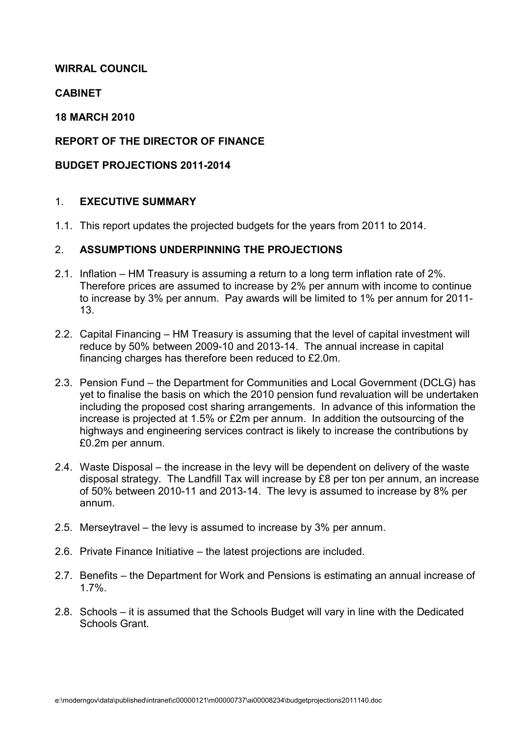## WIRRAL COUNCIL

## CABINET

## 18 MARCH 2010

## REPORT OF THE DIRECTOR OF FINANCE

## BUDGET PROJECTIONS 2011-2014

## 1. EXECUTIVE SUMMARY

1.1. This report updates the projected budgets for the years from 2011 to 2014.

## 2. ASSUMPTIONS UNDERPINNING THE PROJECTIONS

- 2.1. Inflation HM Treasury is assuming a return to a long term inflation rate of 2%. Therefore prices are assumed to increase by 2% per annum with income to continue to increase by 3% per annum. Pay awards will be limited to 1% per annum for 2011- 13.
- 2.2. Capital Financing HM Treasury is assuming that the level of capital investment will reduce by 50% between 2009-10 and 2013-14. The annual increase in capital financing charges has therefore been reduced to £2.0m.
- 2.3. Pension Fund the Department for Communities and Local Government (DCLG) has yet to finalise the basis on which the 2010 pension fund revaluation will be undertaken including the proposed cost sharing arrangements. In advance of this information the increase is projected at 1.5% or £2m per annum. In addition the outsourcing of the highways and engineering services contract is likely to increase the contributions by £0.2m per annum.
- 2.4. Waste Disposal the increase in the levy will be dependent on delivery of the waste disposal strategy. The Landfill Tax will increase by £8 per ton per annum, an increase of 50% between 2010-11 and 2013-14. The levy is assumed to increase by 8% per annum.
- 2.5. Merseytravel the levy is assumed to increase by 3% per annum.
- 2.6. Private Finance Initiative the latest projections are included.
- 2.7. Benefits the Department for Work and Pensions is estimating an annual increase of 1.7%.
- 2.8. Schools it is assumed that the Schools Budget will vary in line with the Dedicated Schools Grant.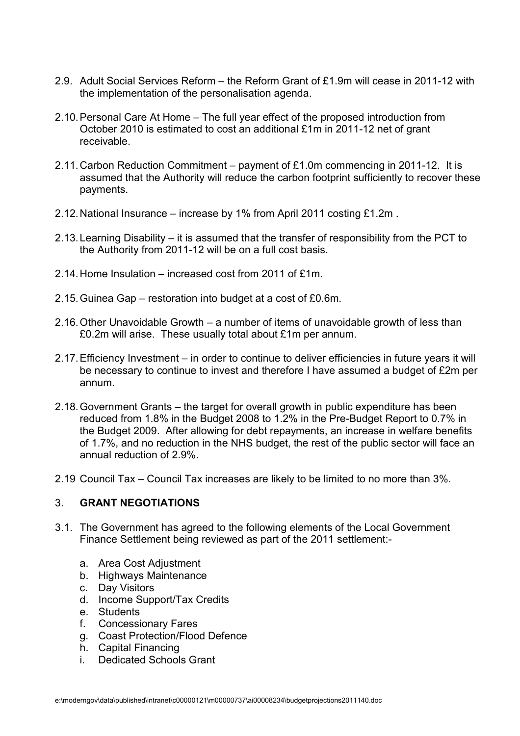- 2.9. Adult Social Services Reform the Reform Grant of £1.9m will cease in 2011-12 with the implementation of the personalisation agenda.
- 2.10. Personal Care At Home The full year effect of the proposed introduction from October 2010 is estimated to cost an additional £1m in 2011-12 net of grant receivable.
- 2.11. Carbon Reduction Commitment payment of £1.0m commencing in 2011-12. It is assumed that the Authority will reduce the carbon footprint sufficiently to recover these payments.
- 2.12. National Insurance increase by 1% from April 2011 costing £1.2m .
- 2.13. Learning Disability it is assumed that the transfer of responsibility from the PCT to the Authority from 2011-12 will be on a full cost basis.
- 2.14. Home Insulation increased cost from 2011 of £1m.
- 2.15. Guinea Gap restoration into budget at a cost of £0.6m.
- 2.16. Other Unavoidable Growth a number of items of unavoidable growth of less than £0.2m will arise. These usually total about £1m per annum.
- 2.17. Efficiency Investment in order to continue to deliver efficiencies in future years it will be necessary to continue to invest and therefore I have assumed a budget of £2m per annum.
- 2.18. Government Grants the target for overall growth in public expenditure has been reduced from 1.8% in the Budget 2008 to 1.2% in the Pre-Budget Report to 0.7% in the Budget 2009. After allowing for debt repayments, an increase in welfare benefits of 1.7%, and no reduction in the NHS budget, the rest of the public sector will face an annual reduction of 2.9%.
- 2.19 Council Tax Council Tax increases are likely to be limited to no more than 3%.

## 3. GRANT NEGOTIATIONS

- 3.1. The Government has agreed to the following elements of the Local Government Finance Settlement being reviewed as part of the 2011 settlement:
	- a. Area Cost Adjustment
	- b. Highways Maintenance
	- c. Day Visitors
	- d. Income Support/Tax Credits
	- e. Students
	- f. Concessionary Fares
	- g. Coast Protection/Flood Defence
	- h. Capital Financing
	- i. Dedicated Schools Grant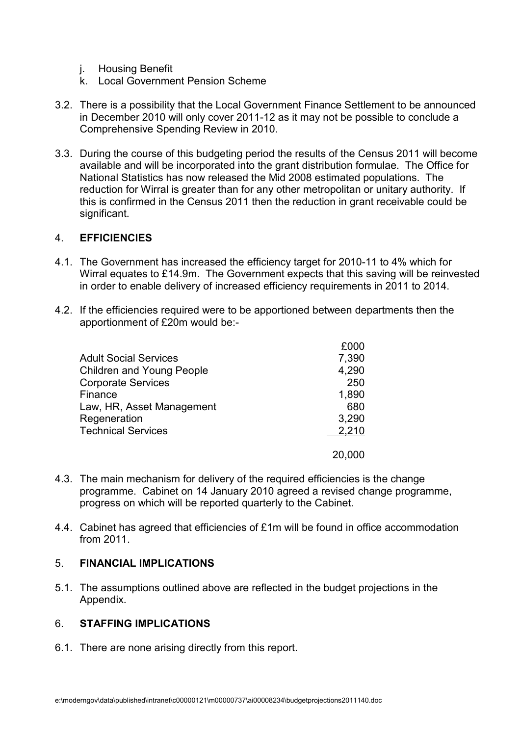- j. Housing Benefit
- k. Local Government Pension Scheme
- 3.2. There is a possibility that the Local Government Finance Settlement to be announced in December 2010 will only cover 2011-12 as it may not be possible to conclude a Comprehensive Spending Review in 2010.
- 3.3. During the course of this budgeting period the results of the Census 2011 will become available and will be incorporated into the grant distribution formulae. The Office for National Statistics has now released the Mid 2008 estimated populations. The reduction for Wirral is greater than for any other metropolitan or unitary authority. If this is confirmed in the Census 2011 then the reduction in grant receivable could be significant.

#### 4. EFFICIENCIES

- 4.1. The Government has increased the efficiency target for 2010-11 to 4% which for Wirral equates to £14.9m. The Government expects that this saving will be reinvested in order to enable delivery of increased efficiency requirements in 2011 to 2014.
- 4.2. If the efficiencies required were to be apportioned between departments then the apportionment of £20m would be:-

|                                  | £000  |
|----------------------------------|-------|
| <b>Adult Social Services</b>     | 7,390 |
| <b>Children and Young People</b> | 4,290 |
| <b>Corporate Services</b>        | 250   |
| Finance                          | 1,890 |
| Law, HR, Asset Management        | 680   |
| Regeneration                     | 3,290 |
| <b>Technical Services</b>        | 2,210 |
|                                  |       |

- 4.3. The main mechanism for delivery of the required efficiencies is the change programme. Cabinet on 14 January 2010 agreed a revised change programme, progress on which will be reported quarterly to the Cabinet.
- 4.4. Cabinet has agreed that efficiencies of £1m will be found in office accommodation from 2011.

## 5. FINANCIAL IMPLICATIONS

5.1. The assumptions outlined above are reflected in the budget projections in the Appendix.

## 6. STAFFING IMPLICATIONS

6.1. There are none arising directly from this report.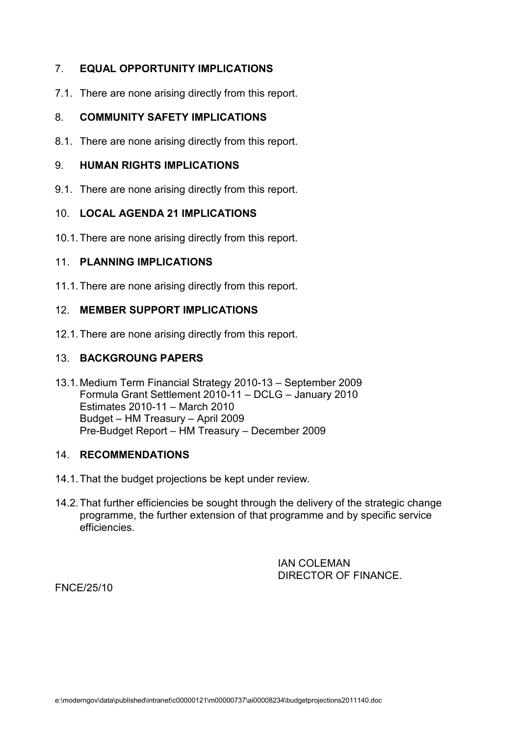## 7. EQUAL OPPORTUNITY IMPLICATIONS

7.1. There are none arising directly from this report.

## 8. COMMUNITY SAFETY IMPLICATIONS

8.1. There are none arising directly from this report.

#### 9. HUMAN RIGHTS IMPLICATIONS

9.1. There are none arising directly from this report.

#### 10. LOCAL AGENDA 21 IMPLICATIONS

10.1. There are none arising directly from this report.

#### 11. PLANNING IMPLICATIONS

11.1. There are none arising directly from this report.

## 12. MEMBER SUPPORT IMPLICATIONS

12.1. There are none arising directly from this report.

#### 13. BACKGROUNG PAPERS

13.1. Medium Term Financial Strategy 2010-13 – September 2009 Formula Grant Settlement 2010-11 – DCLG – January 2010 Estimates 2010-11 – March 2010 Budget – HM Treasury – April 2009 Pre-Budget Report – HM Treasury – December 2009

## 14. RECOMMENDATIONS

- 14.1. That the budget projections be kept under review.
- 14.2. That further efficiencies be sought through the delivery of the strategic change programme, the further extension of that programme and by specific service efficiencies.

 IAN COLEMAN DIRECTOR OF FINANCE.

FNCE/25/10